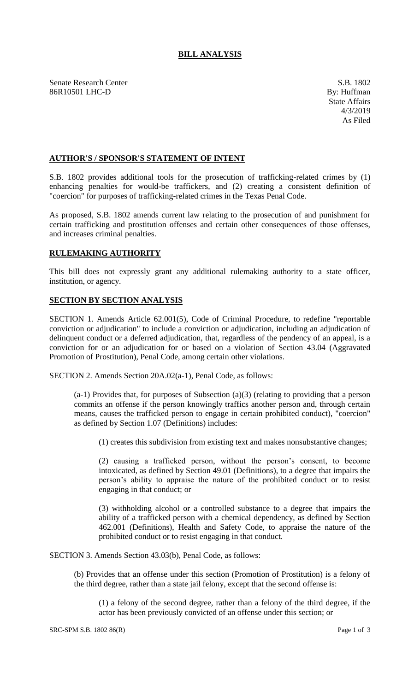## **BILL ANALYSIS**

Senate Research Center S.B. 1802 86R10501 LHC-D By: Huffman

## **AUTHOR'S / SPONSOR'S STATEMENT OF INTENT**

S.B. 1802 provides additional tools for the prosecution of trafficking-related crimes by (1) enhancing penalties for would-be traffickers, and (2) creating a consistent definition of "coercion" for purposes of trafficking-related crimes in the Texas Penal Code.

As proposed, S.B. 1802 amends current law relating to the prosecution of and punishment for certain trafficking and prostitution offenses and certain other consequences of those offenses, and increases criminal penalties.

## **RULEMAKING AUTHORITY**

This bill does not expressly grant any additional rulemaking authority to a state officer, institution, or agency.

## **SECTION BY SECTION ANALYSIS**

SECTION 1. Amends Article 62.001(5), Code of Criminal Procedure, to redefine "reportable conviction or adjudication" to include a conviction or adjudication, including an adjudication of delinquent conduct or a deferred adjudication, that, regardless of the pendency of an appeal, is a conviction for or an adjudication for or based on a violation of Section 43.04 (Aggravated Promotion of Prostitution), Penal Code, among certain other violations.

SECTION 2. Amends Section 20A.02(a-1), Penal Code, as follows:

(a-1) Provides that, for purposes of Subsection (a)(3) (relating to providing that a person commits an offense if the person knowingly traffics another person and, through certain means, causes the trafficked person to engage in certain prohibited conduct), "coercion" as defined by Section 1.07 (Definitions) includes:

(1) creates this subdivision from existing text and makes nonsubstantive changes;

(2) causing a trafficked person, without the person's consent, to become intoxicated, as defined by Section 49.01 (Definitions), to a degree that impairs the person's ability to appraise the nature of the prohibited conduct or to resist engaging in that conduct; or

(3) withholding alcohol or a controlled substance to a degree that impairs the ability of a trafficked person with a chemical dependency, as defined by Section 462.001 (Definitions), Health and Safety Code, to appraise the nature of the prohibited conduct or to resist engaging in that conduct.

SECTION 3. Amends Section 43.03(b), Penal Code, as follows:

(b) Provides that an offense under this section (Promotion of Prostitution) is a felony of the third degree, rather than a state jail felony, except that the second offense is:

(1) a felony of the second degree, rather than a felony of the third degree, if the actor has been previously convicted of an offense under this section; or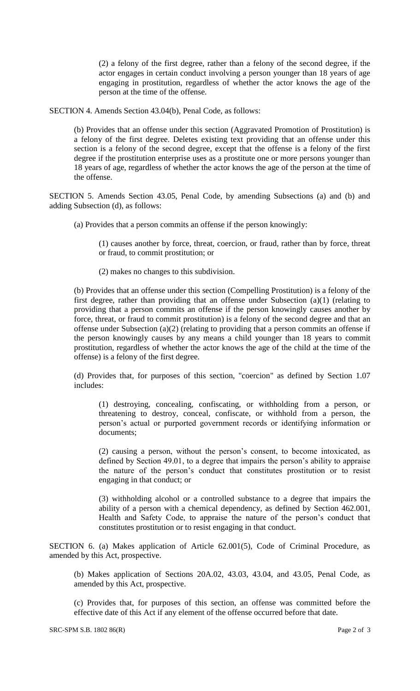(2) a felony of the first degree, rather than a felony of the second degree, if the actor engages in certain conduct involving a person younger than 18 years of age engaging in prostitution, regardless of whether the actor knows the age of the person at the time of the offense.

SECTION 4. Amends Section 43.04(b), Penal Code, as follows:

(b) Provides that an offense under this section (Aggravated Promotion of Prostitution) is a felony of the first degree. Deletes existing text providing that an offense under this section is a felony of the second degree, except that the offense is a felony of the first degree if the prostitution enterprise uses as a prostitute one or more persons younger than 18 years of age, regardless of whether the actor knows the age of the person at the time of the offense.

SECTION 5. Amends Section 43.05, Penal Code, by amending Subsections (a) and (b) and adding Subsection (d), as follows:

(a) Provides that a person commits an offense if the person knowingly:

(1) causes another by force, threat, coercion, or fraud, rather than by force, threat or fraud, to commit prostitution; or

(2) makes no changes to this subdivision.

(b) Provides that an offense under this section (Compelling Prostitution) is a felony of the first degree, rather than providing that an offense under Subsection (a)(1) (relating to providing that a person commits an offense if the person knowingly causes another by force, threat, or fraud to commit prostitution) is a felony of the second degree and that an offense under Subsection (a)(2) (relating to providing that a person commits an offense if the person knowingly causes by any means a child younger than 18 years to commit prostitution, regardless of whether the actor knows the age of the child at the time of the offense) is a felony of the first degree.

(d) Provides that, for purposes of this section, "coercion" as defined by Section 1.07 includes:

(1) destroying, concealing, confiscating, or withholding from a person, or threatening to destroy, conceal, confiscate, or withhold from a person, the person's actual or purported government records or identifying information or documents;

(2) causing a person, without the person's consent, to become intoxicated, as defined by Section 49.01, to a degree that impairs the person's ability to appraise the nature of the person's conduct that constitutes prostitution or to resist engaging in that conduct; or

(3) withholding alcohol or a controlled substance to a degree that impairs the ability of a person with a chemical dependency, as defined by Section 462.001, Health and Safety Code, to appraise the nature of the person's conduct that constitutes prostitution or to resist engaging in that conduct.

SECTION 6. (a) Makes application of Article 62.001(5), Code of Criminal Procedure, as amended by this Act, prospective.

(b) Makes application of Sections 20A.02, 43.03, 43.04, and 43.05, Penal Code, as amended by this Act, prospective.

(c) Provides that, for purposes of this section, an offense was committed before the effective date of this Act if any element of the offense occurred before that date.